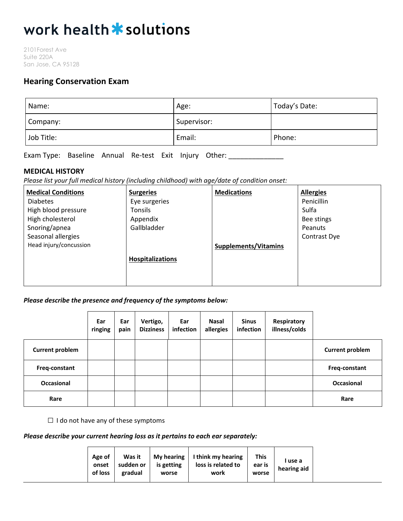# work health \* solutions

2101Forest Ave Suite 220A San Jose, CA 95128

# **Hearing Conservation Exam**

| Name:      | Age:        | Today's Date: |
|------------|-------------|---------------|
| Company:   | Supervisor: |               |
| Job Title: | Email:      | Phone:        |

Exam Type: Baseline Annual Re-test Exit Injury Other: \_\_\_\_\_\_\_\_\_\_\_\_\_\_

### **MEDICAL HISTORY**

*Please list your full medical history (including childhood) with age/date of condition onset:*

| <b>Medical Conditions</b> | <b>Surgeries</b>        | <b>Medications</b>          | <b>Allergies</b> |
|---------------------------|-------------------------|-----------------------------|------------------|
| <b>Diabetes</b>           | Eye surgeries           |                             | Penicillin       |
| High blood pressure       | Tonsils                 |                             | Sulfa            |
| High cholesterol          | Appendix                |                             | Bee stings       |
| Snoring/apnea             | Gallbladder             |                             | Peanuts          |
| Seasonal allergies        |                         |                             | Contrast Dye     |
| Head injury/concussion    |                         | <b>Supplements/Vitamins</b> |                  |
|                           | <b>Hospitalizations</b> |                             |                  |
|                           |                         |                             |                  |
|                           |                         |                             |                  |

#### *Please describe the presence and frequency of the symptoms below:*

|                        | Ear<br>ringing | Ear<br>pain | Vertigo,<br><b>Dizziness</b> | Ear<br>infection | <b>Nasal</b><br>allergies | <b>Sinus</b><br>infection | Respiratory<br>illness/colds |                        |
|------------------------|----------------|-------------|------------------------------|------------------|---------------------------|---------------------------|------------------------------|------------------------|
| <b>Current problem</b> |                |             |                              |                  |                           |                           |                              | <b>Current problem</b> |
| Freq-constant          |                |             |                              |                  |                           |                           |                              | Freq-constant          |
| Occasional             |                |             |                              |                  |                           |                           |                              | Occasional             |
| Rare                   |                |             |                              |                  |                           |                           |                              | Rare                   |

 $\Box$  I do not have any of these symptoms

## *Please describe your current hearing loss as it pertains to each ear separately:*

| This<br>My hearing $\vert$ I think my hearing<br>Age of<br>Was it<br>l use a<br>loss is related to<br>sudden or<br>is getting<br>ear is<br>onset<br>hearing aid<br>of loss<br>gradual<br>work<br>worse<br>worse |
|-----------------------------------------------------------------------------------------------------------------------------------------------------------------------------------------------------------------|
|-----------------------------------------------------------------------------------------------------------------------------------------------------------------------------------------------------------------|